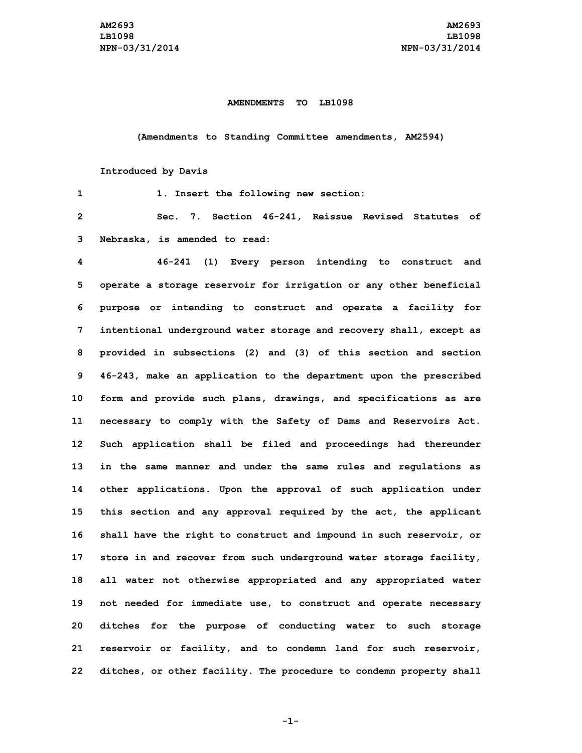## **AMENDMENTS TO LB1098**

**(Amendments to Standing Committee amendments, AM2594)**

**Introduced by Davis**

| 1               | 1. Insert the following new section:                                |
|-----------------|---------------------------------------------------------------------|
| $\overline{2}$  | Sec. 7. Section 46-241, Reissue Revised Statutes of                 |
| 3               | Nebraska, is amended to read:                                       |
| 4               | 46-241 (1) Every person intending to construct and                  |
| 5               | operate a storage reservoir for irrigation or any other beneficial  |
| 6               | purpose or intending to construct and operate a facility for        |
| 7               | intentional underground water storage and recovery shall, except as |
| 8               | provided in subsections (2) and (3) of this section and section     |
| 9               | 46-243, make an application to the department upon the prescribed   |
| 10              | form and provide such plans, drawings, and specifications as are    |
| 11              | necessary to comply with the Safety of Dams and Reservoirs Act.     |
| 12 <sup>°</sup> | Such application shall be filed and proceedings had thereunder      |
| 13              | in the same manner and under the same rules and regulations as      |
| 14              | other applications. Upon the approval of such application under     |
| 15              | this section and any approval required by the act, the applicant    |
| 16              | shall have the right to construct and impound in such reservoir, or |
| 17              | store in and recover from such underground water storage facility,  |
| 18              | all water not otherwise appropriated and any appropriated water     |
| 19              | not needed for immediate use, to construct and operate necessary    |
| 20              | ditches for the purpose of conducting water to such storage         |
| 21              | reservoir or facility, and to condemn land for such reservoir,      |
| 22              | ditches, or other facility. The procedure to condemn property shall |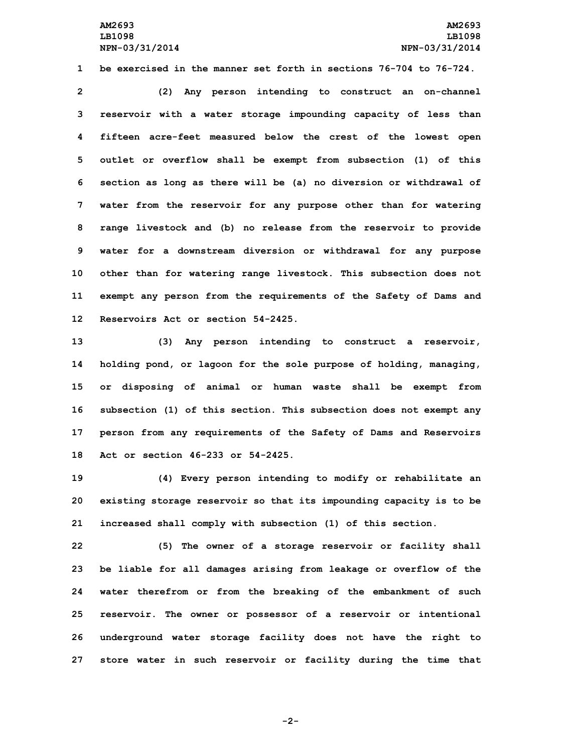**1 be exercised in the manner set forth in sections 76-704 to 76-724.**

 **(2) Any person intending to construct an on-channel reservoir with <sup>a</sup> water storage impounding capacity of less than fifteen acre-feet measured below the crest of the lowest open outlet or overflow shall be exempt from subsection (1) of this section as long as there will be (a) no diversion or withdrawal of water from the reservoir for any purpose other than for watering range livestock and (b) no release from the reservoir to provide water for <sup>a</sup> downstream diversion or withdrawal for any purpose other than for watering range livestock. This subsection does not exempt any person from the requirements of the Safety of Dams and Reservoirs Act or section 54-2425.**

 **(3) Any person intending to construct <sup>a</sup> reservoir, holding pond, or lagoon for the sole purpose of holding, managing, or disposing of animal or human waste shall be exempt from subsection (1) of this section. This subsection does not exempt any person from any requirements of the Safety of Dams and Reservoirs Act or section 46-233 or 54-2425.**

**19 (4) Every person intending to modify or rehabilitate an 20 existing storage reservoir so that its impounding capacity is to be 21 increased shall comply with subsection (1) of this section.**

 **(5) The owner of <sup>a</sup> storage reservoir or facility shall be liable for all damages arising from leakage or overflow of the water therefrom or from the breaking of the embankment of such reservoir. The owner or possessor of <sup>a</sup> reservoir or intentional underground water storage facility does not have the right to store water in such reservoir or facility during the time that**

**-2-**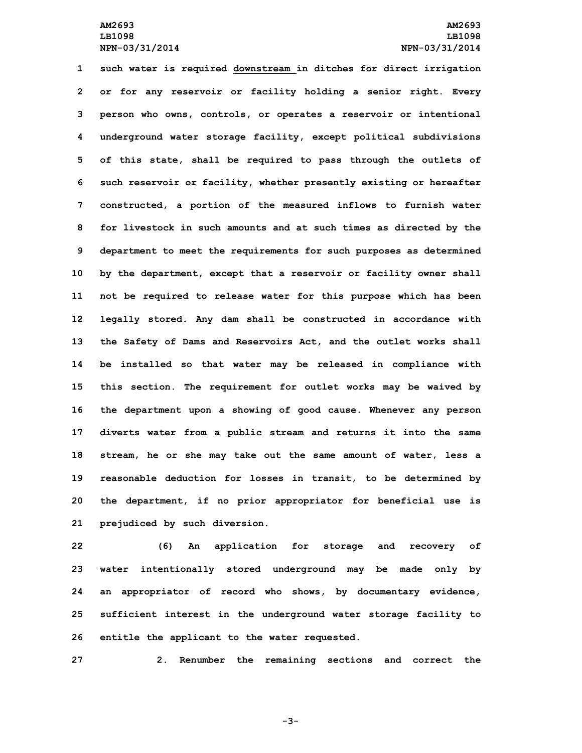**such water is required downstream in ditches for direct irrigation or for any reservoir or facility holding <sup>a</sup> senior right. Every person who owns, controls, or operates <sup>a</sup> reservoir or intentional underground water storage facility, except political subdivisions of this state, shall be required to pass through the outlets of such reservoir or facility, whether presently existing or hereafter constructed, <sup>a</sup> portion of the measured inflows to furnish water for livestock in such amounts and at such times as directed by the department to meet the requirements for such purposes as determined by the department, except that <sup>a</sup> reservoir or facility owner shall not be required to release water for this purpose which has been legally stored. Any dam shall be constructed in accordance with the Safety of Dams and Reservoirs Act, and the outlet works shall be installed so that water may be released in compliance with this section. The requirement for outlet works may be waived by the department upon <sup>a</sup> showing of good cause. Whenever any person diverts water from <sup>a</sup> public stream and returns it into the same stream, he or she may take out the same amount of water, less <sup>a</sup> reasonable deduction for losses in transit, to be determined by the department, if no prior appropriator for beneficial use is prejudiced by such diversion.**

 **(6) An application for storage and recovery of water intentionally stored underground may be made only by an appropriator of record who shows, by documentary evidence, sufficient interest in the underground water storage facility to entitle the applicant to the water requested.**

**27 2. Renumber the remaining sections and correct the**

**-3-**